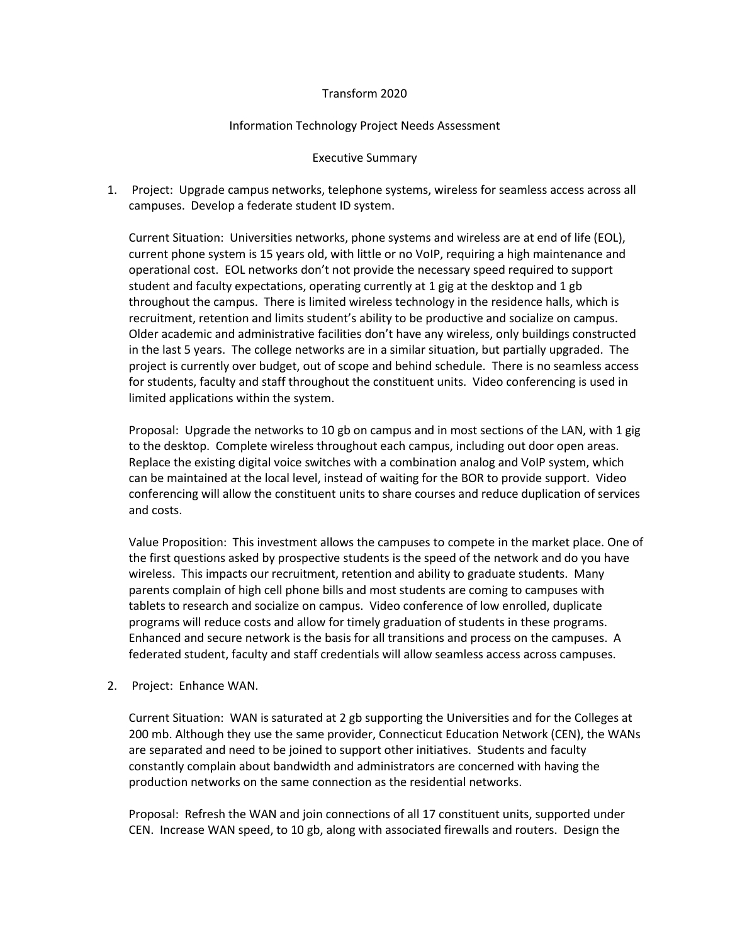## Transform 2020

## Information Technology Project Needs Assessment

## Executive Summary

1. Project: Upgrade campus networks, telephone systems, wireless for seamless access across all campuses. Develop a federate student ID system.

Current Situation: Universities networks, phone systems and wireless are at end of life (EOL), current phone system is 15 years old, with little or no VoIP, requiring a high maintenance and operational cost. EOL networks don't not provide the necessary speed required to support student and faculty expectations, operating currently at 1 gig at the desktop and 1 gb throughout the campus. There is limited wireless technology in the residence halls, which is recruitment, retention and limits student's ability to be productive and socialize on campus. Older academic and administrative facilities don't have any wireless, only buildings constructed in the last 5 years. The college networks are in a similar situation, but partially upgraded. The project is currently over budget, out of scope and behind schedule. There is no seamless access for students, faculty and staff throughout the constituent units. Video conferencing is used in limited applications within the system.

Proposal: Upgrade the networks to 10 gb on campus and in most sections of the LAN, with 1 gig to the desktop. Complete wireless throughout each campus, including out door open areas. Replace the existing digital voice switches with a combination analog and VoIP system, which can be maintained at the local level, instead of waiting for the BOR to provide support. Video conferencing will allow the constituent units to share courses and reduce duplication of services and costs.

Value Proposition: This investment allows the campuses to compete in the market place. One of the first questions asked by prospective students is the speed of the network and do you have wireless. This impacts our recruitment, retention and ability to graduate students. Many parents complain of high cell phone bills and most students are coming to campuses with tablets to research and socialize on campus. Video conference of low enrolled, duplicate programs will reduce costs and allow for timely graduation of students in these programs. Enhanced and secure network is the basis for all transitions and process on the campuses. A federated student, faculty and staff credentials will allow seamless access across campuses.

## 2. Project: Enhance WAN.

Current Situation: WAN is saturated at 2 gb supporting the Universities and for the Colleges at 200 mb. Although they use the same provider, Connecticut Education Network (CEN), the WANs are separated and need to be joined to support other initiatives. Students and faculty constantly complain about bandwidth and administrators are concerned with having the production networks on the same connection as the residential networks.

Proposal: Refresh the WAN and join connections of all 17 constituent units, supported under CEN. Increase WAN speed, to 10 gb, along with associated firewalls and routers. Design the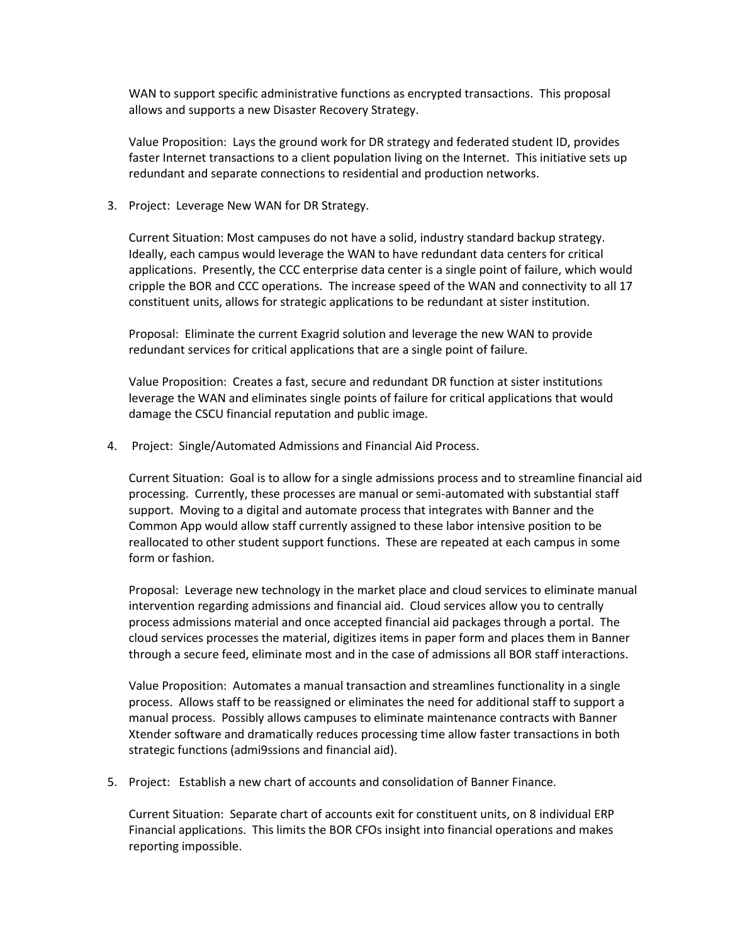WAN to support specific administrative functions as encrypted transactions. This proposal allows and supports a new Disaster Recovery Strategy.

Value Proposition: Lays the ground work for DR strategy and federated student ID, provides faster Internet transactions to a client population living on the Internet. This initiative sets up redundant and separate connections to residential and production networks.

3. Project: Leverage New WAN for DR Strategy.

Current Situation: Most campuses do not have a solid, industry standard backup strategy. Ideally, each campus would leverage the WAN to have redundant data centers for critical applications. Presently, the CCC enterprise data center is a single point of failure, which would cripple the BOR and CCC operations. The increase speed of the WAN and connectivity to all 17 constituent units, allows for strategic applications to be redundant at sister institution.

Proposal: Eliminate the current Exagrid solution and leverage the new WAN to provide redundant services for critical applications that are a single point of failure.

Value Proposition: Creates a fast, secure and redundant DR function at sister institutions leverage the WAN and eliminates single points of failure for critical applications that would damage the CSCU financial reputation and public image.

4. Project: Single/Automated Admissions and Financial Aid Process.

Current Situation: Goal is to allow for a single admissions process and to streamline financial aid processing. Currently, these processes are manual or semi-automated with substantial staff support. Moving to a digital and automate process that integrates with Banner and the Common App would allow staff currently assigned to these labor intensive position to be reallocated to other student support functions. These are repeated at each campus in some form or fashion.

Proposal: Leverage new technology in the market place and cloud services to eliminate manual intervention regarding admissions and financial aid. Cloud services allow you to centrally process admissions material and once accepted financial aid packages through a portal. The cloud services processes the material, digitizes items in paper form and places them in Banner through a secure feed, eliminate most and in the case of admissions all BOR staff interactions.

Value Proposition: Automates a manual transaction and streamlines functionality in a single process. Allows staff to be reassigned or eliminates the need for additional staff to support a manual process. Possibly allows campuses to eliminate maintenance contracts with Banner Xtender software and dramatically reduces processing time allow faster transactions in both strategic functions (admi9ssions and financial aid).

5. Project: Establish a new chart of accounts and consolidation of Banner Finance.

Current Situation: Separate chart of accounts exit for constituent units, on 8 individual ERP Financial applications. This limits the BOR CFOs insight into financial operations and makes reporting impossible.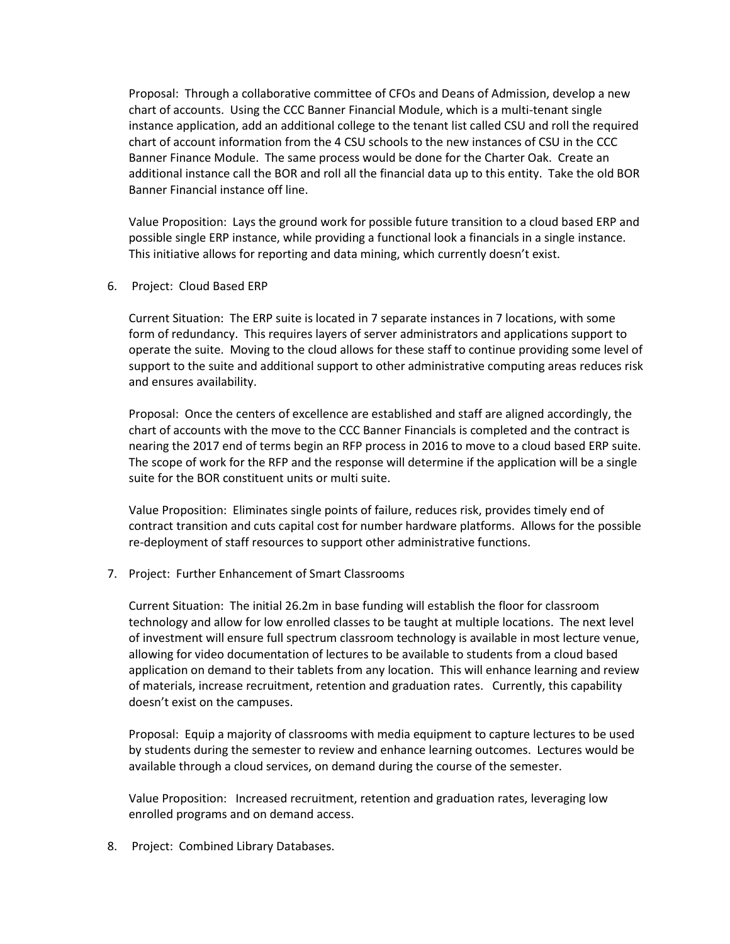Proposal: Through a collaborative committee of CFOs and Deans of Admission, develop a new chart of accounts. Using the CCC Banner Financial Module, which is a multi-tenant single instance application, add an additional college to the tenant list called CSU and roll the required chart of account information from the 4 CSU schools to the new instances of CSU in the CCC Banner Finance Module. The same process would be done for the Charter Oak. Create an additional instance call the BOR and roll all the financial data up to this entity. Take the old BOR Banner Financial instance off line.

Value Proposition: Lays the ground work for possible future transition to a cloud based ERP and possible single ERP instance, while providing a functional look a financials in a single instance. This initiative allows for reporting and data mining, which currently doesn't exist.

6. Project: Cloud Based ERP

Current Situation: The ERP suite is located in 7 separate instances in 7 locations, with some form of redundancy. This requires layers of server administrators and applications support to operate the suite. Moving to the cloud allows for these staff to continue providing some level of support to the suite and additional support to other administrative computing areas reduces risk and ensures availability.

Proposal: Once the centers of excellence are established and staff are aligned accordingly, the chart of accounts with the move to the CCC Banner Financials is completed and the contract is nearing the 2017 end of terms begin an RFP process in 2016 to move to a cloud based ERP suite. The scope of work for the RFP and the response will determine if the application will be a single suite for the BOR constituent units or multi suite.

Value Proposition: Eliminates single points of failure, reduces risk, provides timely end of contract transition and cuts capital cost for number hardware platforms. Allows for the possible re-deployment of staff resources to support other administrative functions.

7. Project: Further Enhancement of Smart Classrooms

Current Situation: The initial 26.2m in base funding will establish the floor for classroom technology and allow for low enrolled classes to be taught at multiple locations. The next level of investment will ensure full spectrum classroom technology is available in most lecture venue, allowing for video documentation of lectures to be available to students from a cloud based application on demand to their tablets from any location. This will enhance learning and review of materials, increase recruitment, retention and graduation rates. Currently, this capability doesn't exist on the campuses.

Proposal: Equip a majority of classrooms with media equipment to capture lectures to be used by students during the semester to review and enhance learning outcomes. Lectures would be available through a cloud services, on demand during the course of the semester.

Value Proposition: Increased recruitment, retention and graduation rates, leveraging low enrolled programs and on demand access.

8. Project: Combined Library Databases.